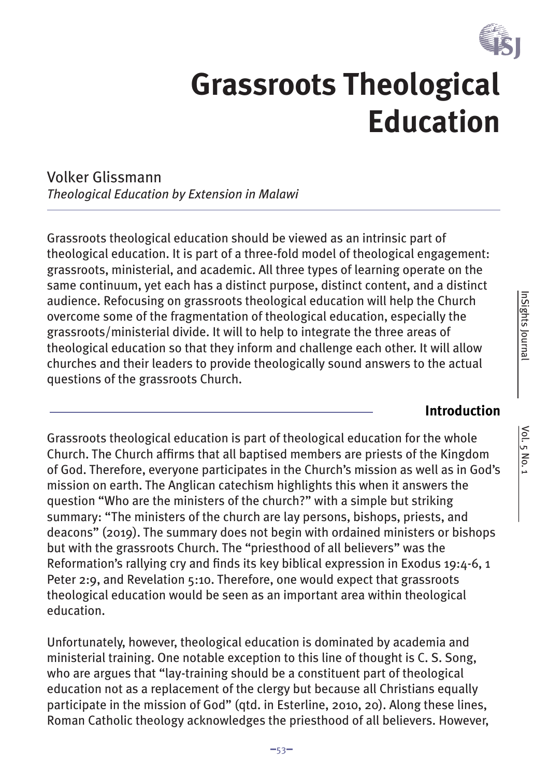

# **Grassroots Theological Education**

Volker Glissmann *Theological Education by Extension in Malawi*

Grassroots theological education should be viewed as an intrinsic part of theological education. It is part of a three-fold model of theological engagement: grassroots, ministerial, and academic. All three types of learning operate on the same continuum, yet each has a distinct purpose, distinct content, and a distinct audience. Refocusing on grassroots theological education will help the Church overcome some of the fragmentation of theological education, especially the grassroots/ministerial divide. It will to help to integrate the three areas of theological education so that they inform and challenge each other. It will allow churches and their leaders to provide theologically sound answers to the actual questions of the grassroots Church.

## **Introduction**

Grassroots theological education is part of theological education for the whole Church. The Church affirms that all baptised members are priests of the Kingdom of God. Therefore, everyone participates in the Church's mission as well as in God's mission on earth. The Anglican catechism highlights this when it answers the question "Who are the ministers of the church?" with a simple but striking summary: "The ministers of the church are lay persons, bishops, priests, and deacons" (2019). The summary does not begin with ordained ministers or bishops but with the grassroots Church. The "priesthood of all believers" was the Reformation's rallying cry and finds its key biblical expression in Exodus 19:4-6, 1 Peter 2:9, and Revelation 5:10. Therefore, one would expect that grassroots theological education would be seen as an important area within theological education.

Unfortunately, however, theological education is dominated by academia and ministerial training. One notable exception to this line of thought is C. S. Song, who are argues that "lay-training should be a constituent part of theological education not as a replacement of the clergy but because all Christians equally participate in the mission of God" (qtd. in Esterline, 2010, 20). Along these lines, Roman Catholic theology acknowledges the priesthood of all believers. However,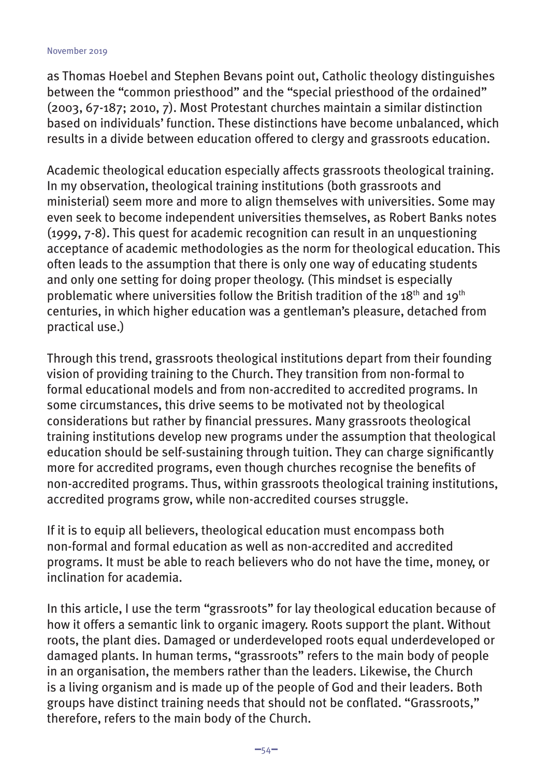as Thomas Hoebel and Stephen Bevans point out, Catholic theology distinguishes between the "common priesthood" and the "special priesthood of the ordained" (2003, 67-187; 2010, 7). Most Protestant churches maintain a similar distinction based on individuals' function. These distinctions have become unbalanced, which results in a divide between education offered to clergy and grassroots education.

Academic theological education especially affects grassroots theological training. In my observation, theological training institutions (both grassroots and ministerial) seem more and more to align themselves with universities. Some may even seek to become independent universities themselves, as Robert Banks notes (1999, 7-8). This quest for academic recognition can result in an unquestioning acceptance of academic methodologies as the norm for theological education. This often leads to the assumption that there is only one way of educating students and only one setting for doing proper theology. (This mindset is especially problematic where universities follow the British tradition of the 18<sup>th</sup> and 19<sup>th</sup> centuries, in which higher education was a gentleman's pleasure, detached from practical use.)

Through this trend, grassroots theological institutions depart from their founding vision of providing training to the Church. They transition from non-formal to formal educational models and from non-accredited to accredited programs. In some circumstances, this drive seems to be motivated not by theological considerations but rather by financial pressures. Many grassroots theological training institutions develop new programs under the assumption that theological education should be self-sustaining through tuition. They can charge significantly more for accredited programs, even though churches recognise the benefits of non-accredited programs. Thus, within grassroots theological training institutions, accredited programs grow, while non-accredited courses struggle.

If it is to equip all believers, theological education must encompass both non-formal and formal education as well as non-accredited and accredited programs. It must be able to reach believers who do not have the time, money, or inclination for academia.

In this article, I use the term "grassroots" for lay theological education because of how it offers a semantic link to organic imagery. Roots support the plant. Without roots, the plant dies. Damaged or underdeveloped roots equal underdeveloped or damaged plants. In human terms, "grassroots" refers to the main body of people in an organisation, the members rather than the leaders. Likewise, the Church is a living organism and is made up of the people of God and their leaders. Both groups have distinct training needs that should not be conflated. "Grassroots," therefore, refers to the main body of the Church.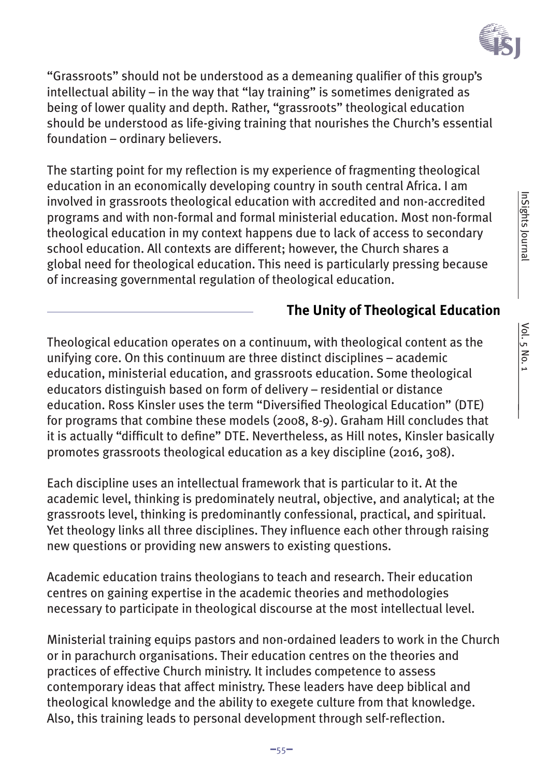

"Grassroots" should not be understood as a demeaning qualifier of this group's intellectual ability – in the way that "lay training" is sometimes denigrated as being of lower quality and depth. Rather, "grassroots" theological education should be understood as life-giving training that nourishes the Church's essential foundation – ordinary believers.

The starting point for my reflection is my experience of fragmenting theological education in an economically developing country in south central Africa. I am involved in grassroots theological education with accredited and non-accredited programs and with non-formal and formal ministerial education. Most non-formal theological education in my context happens due to lack of access to secondary school education. All contexts are different; however, the Church shares a global need for theological education. This need is particularly pressing because of increasing governmental regulation of theological education.

# **The Unity of Theological Education**

Theological education operates on a continuum, with theological content as the unifying core. On this continuum are three distinct disciplines – academic education, ministerial education, and grassroots education. Some theological educators distinguish based on form of delivery – residential or distance education. Ross Kinsler uses the term "Diversified Theological Education" (DTE) for programs that combine these models (2008, 8-9). Graham Hill concludes that it is actually "difficult to define" DTE. Nevertheless, as Hill notes, Kinsler basically promotes grassroots theological education as a key discipline (2016, 308).

Each discipline uses an intellectual framework that is particular to it. At the academic level, thinking is predominately neutral, objective, and analytical; at the grassroots level, thinking is predominantly confessional, practical, and spiritual. Yet theology links all three disciplines. They influence each other through raising new questions or providing new answers to existing questions.

Academic education trains theologians to teach and research. Their education centres on gaining expertise in the academic theories and methodologies necessary to participate in theological discourse at the most intellectual level.

Ministerial training equips pastors and non-ordained leaders to work in the Church or in parachurch organisations. Their education centres on the theories and practices of effective Church ministry. It includes competence to assess contemporary ideas that affect ministry. These leaders have deep biblical and theological knowledge and the ability to exegete culture from that knowledge. Also, this training leads to personal development through self-reflection.

InSights Journal

InSights Journal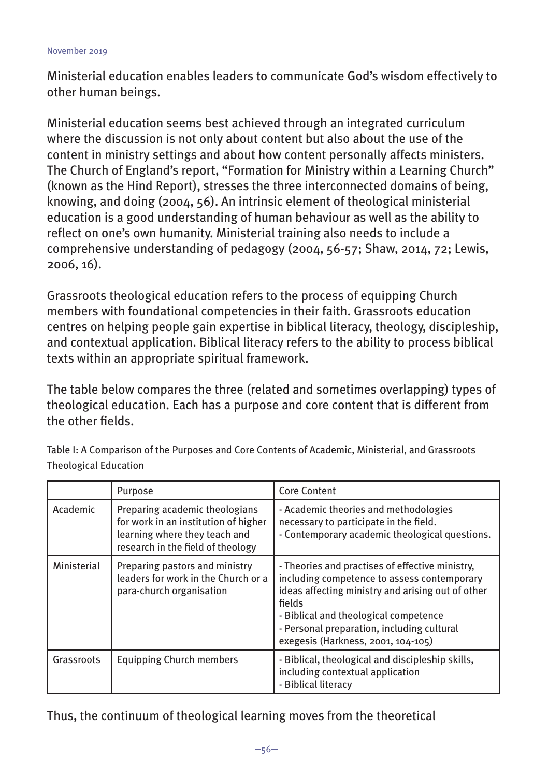Ministerial education enables leaders to communicate God's wisdom effectively to other human beings.

Ministerial education seems best achieved through an integrated curriculum where the discussion is not only about content but also about the use of the content in ministry settings and about how content personally affects ministers. The Church of England's report, "Formation for Ministry within a Learning Church" (known as the Hind Report), stresses the three interconnected domains of being, knowing, and doing (2004, 56). An intrinsic element of theological ministerial education is a good understanding of human behaviour as well as the ability to reflect on one's own humanity. Ministerial training also needs to include a comprehensive understanding of pedagogy (2004, 56-57; Shaw, 2014, 72; Lewis, 2006, 16).

Grassroots theological education refers to the process of equipping Church members with foundational competencies in their faith. Grassroots education centres on helping people gain expertise in biblical literacy, theology, discipleship, and contextual application. Biblical literacy refers to the ability to process biblical texts within an appropriate spiritual framework.

The table below compares the three (related and sometimes overlapping) types of theological education. Each has a purpose and core content that is different from the other fields.

|             | Purpose                                                                                                                                      | <b>Core Content</b>                                                                                                                                                                                                                                                                        |
|-------------|----------------------------------------------------------------------------------------------------------------------------------------------|--------------------------------------------------------------------------------------------------------------------------------------------------------------------------------------------------------------------------------------------------------------------------------------------|
| Academic    | Preparing academic theologians<br>for work in an institution of higher<br>learning where they teach and<br>research in the field of theology | - Academic theories and methodologies<br>necessary to participate in the field.<br>- Contemporary academic theological questions.                                                                                                                                                          |
| Ministerial | Preparing pastors and ministry<br>leaders for work in the Church or a<br>para-church organisation                                            | - Theories and practises of effective ministry,<br>including competence to assess contemporary<br>ideas affecting ministry and arising out of other<br>fields<br>- Biblical and theological competence<br>- Personal preparation, including cultural<br>exegesis (Harkness, 2001, 104-105) |
| Grassroots  | <b>Equipping Church members</b>                                                                                                              | - Biblical, theological and discipleship skills,<br>including contextual application<br>- Biblical literacy                                                                                                                                                                                |

Table I: A Comparison of the Purposes and Core Contents of Academic, Ministerial, and Grassroots Theological Education

Thus, the continuum of theological learning moves from the theoretical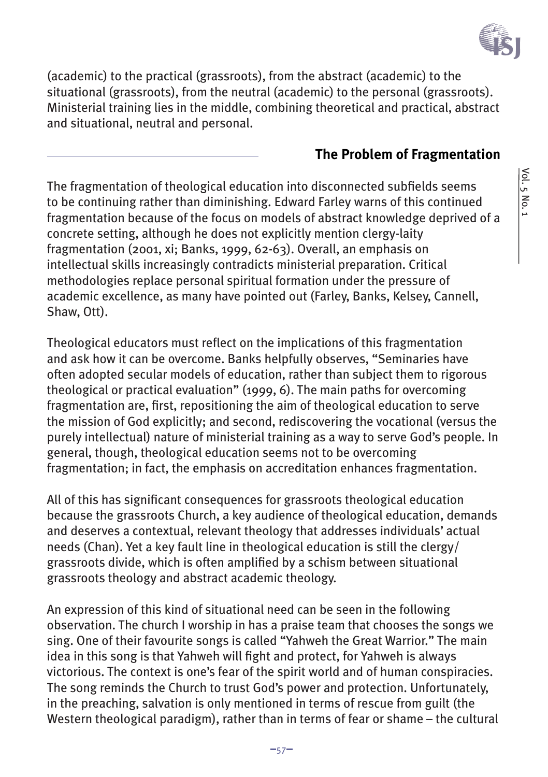

(academic) to the practical (grassroots), from the abstract (academic) to the situational (grassroots), from the neutral (academic) to the personal (grassroots). Ministerial training lies in the middle, combining theoretical and practical, abstract and situational, neutral and personal.

## **The Problem of Fragmentation**

The fragmentation of theological education into disconnected subfields seems to be continuing rather than diminishing. Edward Farley warns of this continued fragmentation because of the focus on models of abstract knowledge deprived of a concrete setting, although he does not explicitly mention clergy-laity fragmentation (2001, xi; Banks, 1999, 62-63). Overall, an emphasis on intellectual skills increasingly contradicts ministerial preparation. Critical methodologies replace personal spiritual formation under the pressure of academic excellence, as many have pointed out (Farley, Banks, Kelsey, Cannell, Shaw, Ott).

Theological educators must reflect on the implications of this fragmentation and ask how it can be overcome. Banks helpfully observes, "Seminaries have often adopted secular models of education, rather than subject them to rigorous theological or practical evaluation" (1999, 6). The main paths for overcoming fragmentation are, first, repositioning the aim of theological education to serve the mission of God explicitly; and second, rediscovering the vocational (versus the purely intellectual) nature of ministerial training as a way to serve God's people. In general, though, theological education seems not to be overcoming fragmentation; in fact, the emphasis on accreditation enhances fragmentation.

All of this has significant consequences for grassroots theological education because the grassroots Church, a key audience of theological education, demands and deserves a contextual, relevant theology that addresses individuals' actual needs (Chan). Yet a key fault line in theological education is still the clergy/ grassroots divide, which is often amplified by a schism between situational grassroots theology and abstract academic theology.

An expression of this kind of situational need can be seen in the following observation. The church I worship in has a praise team that chooses the songs we sing. One of their favourite songs is called "Yahweh the Great Warrior." The main idea in this song is that Yahweh will fight and protect, for Yahweh is always victorious. The context is one's fear of the spirit world and of human conspiracies. The song reminds the Church to trust God's power and protection. Unfortunately, in the preaching, salvation is only mentioned in terms of rescue from guilt (the Western theological paradigm), rather than in terms of fear or shame – the cultural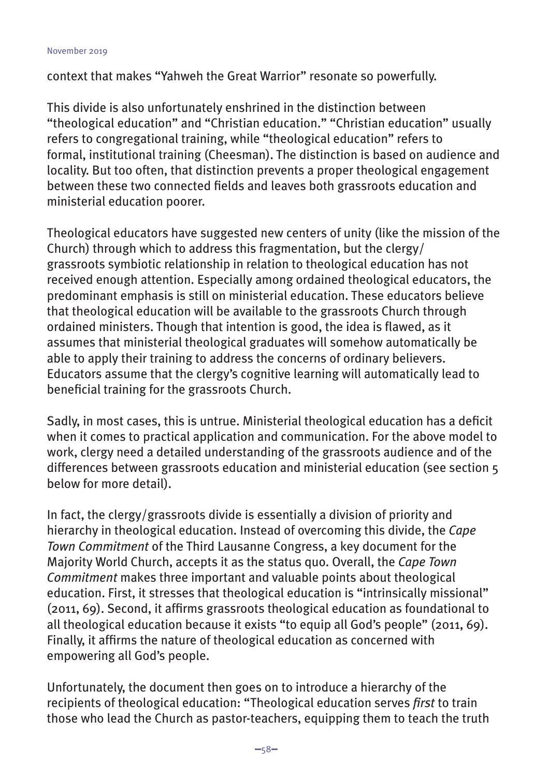context that makes "Yahweh the Great Warrior" resonate so powerfully.

This divide is also unfortunately enshrined in the distinction between "theological education" and "Christian education." "Christian education" usually refers to congregational training, while "theological education" refers to formal, institutional training (Cheesman). The distinction is based on audience and locality. But too often, that distinction prevents a proper theological engagement between these two connected fields and leaves both grassroots education and ministerial education poorer.

Theological educators have suggested new centers of unity (like the mission of the Church) through which to address this fragmentation, but the clergy/ grassroots symbiotic relationship in relation to theological education has not received enough attention. Especially among ordained theological educators, the predominant emphasis is still on ministerial education. These educators believe that theological education will be available to the grassroots Church through ordained ministers. Though that intention is good, the idea is flawed, as it assumes that ministerial theological graduates will somehow automatically be able to apply their training to address the concerns of ordinary believers. Educators assume that the clergy's cognitive learning will automatically lead to beneficial training for the grassroots Church.

Sadly, in most cases, this is untrue. Ministerial theological education has a deficit when it comes to practical application and communication. For the above model to work, clergy need a detailed understanding of the grassroots audience and of the differences between grassroots education and ministerial education (see section 5 below for more detail).

In fact, the clergy/grassroots divide is essentially a division of priority and hierarchy in theological education. Instead of overcoming this divide, the *Cape Town Commitment* of the Third Lausanne Congress, a key document for the Majority World Church, accepts it as the status quo. Overall, the *Cape Town Commitment* makes three important and valuable points about theological education. First, it stresses that theological education is "intrinsically missional" (2011, 69). Second, it affirms grassroots theological education as foundational to all theological education because it exists "to equip all God's people" (2011, 69). Finally, it affirms the nature of theological education as concerned with empowering all God's people.

Unfortunately, the document then goes on to introduce a hierarchy of the recipients of theological education: "Theological education serves *first* to train those who lead the Church as pastor-teachers, equipping them to teach the truth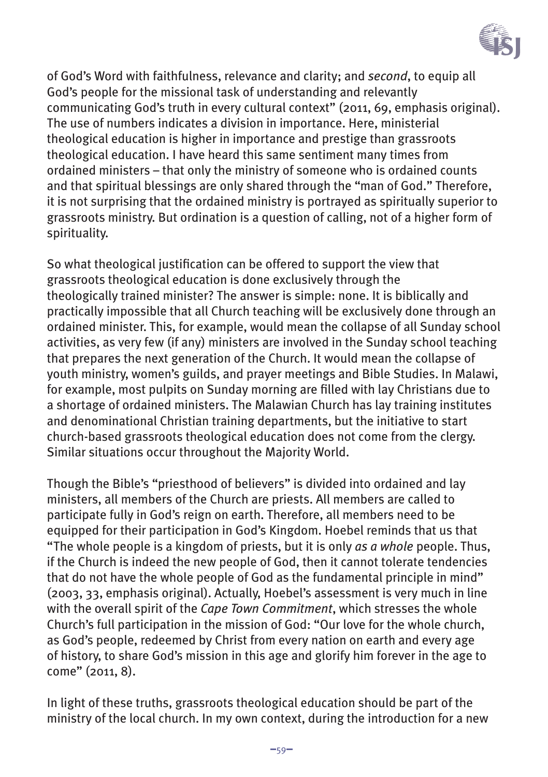

of God's Word with faithfulness, relevance and clarity; and *second*, to equip all God's people for the missional task of understanding and relevantly communicating God's truth in every cultural context" (2011, 69, emphasis original). The use of numbers indicates a division in importance. Here, ministerial theological education is higher in importance and prestige than grassroots theological education. I have heard this same sentiment many times from ordained ministers – that only the ministry of someone who is ordained counts and that spiritual blessings are only shared through the "man of God." Therefore, it is not surprising that the ordained ministry is portrayed as spiritually superior to grassroots ministry. But ordination is a question of calling, not of a higher form of spirituality.

So what theological justification can be offered to support the view that grassroots theological education is done exclusively through the theologically trained minister? The answer is simple: none. It is biblically and practically impossible that all Church teaching will be exclusively done through an ordained minister. This, for example, would mean the collapse of all Sunday school activities, as very few (if any) ministers are involved in the Sunday school teaching that prepares the next generation of the Church. It would mean the collapse of youth ministry, women's guilds, and prayer meetings and Bible Studies. In Malawi, for example, most pulpits on Sunday morning are filled with lay Christians due to a shortage of ordained ministers. The Malawian Church has lay training institutes and denominational Christian training departments, but the initiative to start church-based grassroots theological education does not come from the clergy. Similar situations occur throughout the Majority World.

Though the Bible's "priesthood of believers" is divided into ordained and lay ministers, all members of the Church are priests. All members are called to participate fully in God's reign on earth. Therefore, all members need to be equipped for their participation in God's Kingdom. Hoebel reminds that us that "The whole people is a kingdom of priests, but it is only *as a whole* people. Thus, if the Church is indeed the new people of God, then it cannot tolerate tendencies that do not have the whole people of God as the fundamental principle in mind" (2003, 33, emphasis original). Actually, Hoebel's assessment is very much in line with the overall spirit of the *Cape Town Commitment*, which stresses the whole Church's full participation in the mission of God: "Our love for the whole church, as God's people, redeemed by Christ from every nation on earth and every age of history, to share God's mission in this age and glorify him forever in the age to come" (2011, 8).

In light of these truths, grassroots theological education should be part of the ministry of the local church. In my own context, during the introduction for a new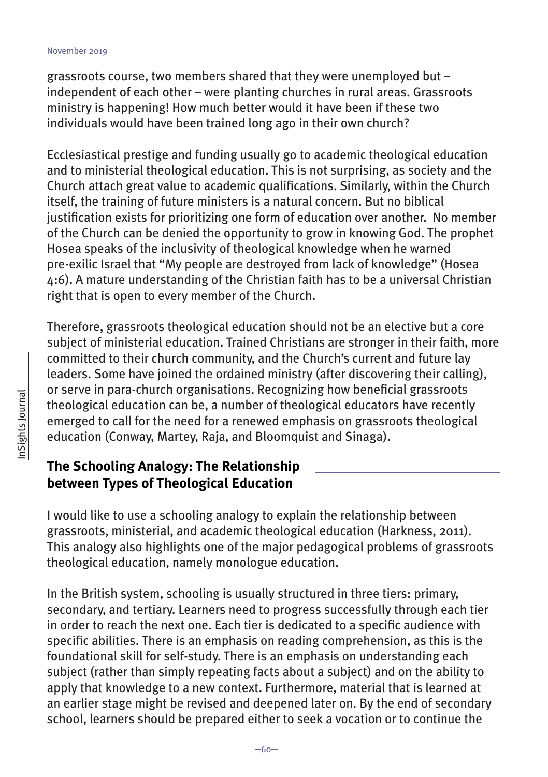grassroots course, two members shared that they were unemployed but – independent of each other – were planting churches in rural areas. Grassroots ministry is happening! How much better would it have been if these two individuals would have been trained long ago in their own church?

Ecclesiastical prestige and funding usually go to academic theological education and to ministerial theological education. This is not surprising, as society and the Church attach great value to academic qualifications. Similarly, within the Church itself, the training of future ministers is a natural concern. But no biblical justification exists for prioritizing one form of education over another. No member of the Church can be denied the opportunity to grow in knowing God. The prophet Hosea speaks of the inclusivity of theological knowledge when he warned pre-exilic Israel that "My people are destroyed from lack of knowledge" (Hosea 4:6). A mature understanding of the Christian faith has to be a universal Christian right that is open to every member of the Church.

Therefore, grassroots theological education should not be an elective but a core subject of ministerial education. Trained Christians are stronger in their faith, more committed to their church community, and the Church's current and future lay leaders. Some have joined the ordained ministry (after discovering their calling), or serve in para-church organisations. Recognizing how beneficial grassroots theological education can be, a number of theological educators have recently emerged to call for the need for a renewed emphasis on grassroots theological education (Conway, Martey, Raja, and Bloomquist and Sinaga).

# **The Schooling Analogy: The Relationship between Types of Theological Education**

I would like to use a schooling analogy to explain the relationship between grassroots, ministerial, and academic theological education (Harkness, 2011). This analogy also highlights one of the major pedagogical problems of grassroots theological education, namely monologue education.

In the British system, schooling is usually structured in three tiers: primary, secondary, and tertiary. Learners need to progress successfully through each tier in order to reach the next one. Each tier is dedicated to a specific audience with specific abilities. There is an emphasis on reading comprehension, as this is the foundational skill for self-study. There is an emphasis on understanding each subject (rather than simply repeating facts about a subject) and on the ability to apply that knowledge to a new context. Furthermore, material that is learned at an earlier stage might be revised and deepened later on. By the end of secondary school, learners should be prepared either to seek a vocation or to continue the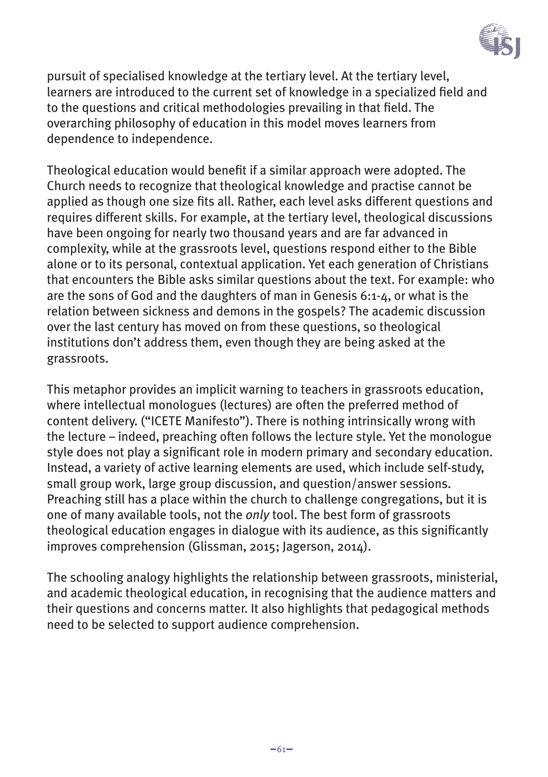

pursuit of specialised knowledge at the tertiary level. At the tertiary level, learners are introduced to the current set of knowledge in a specialized field and to the questions and critical methodologies prevailing in that field. The overarching philosophy of education in this model moves learners from dependence to independence.

Theological education would benefit if a similar approach were adopted. The Church needs to recognize that theological knowledge and practise cannot be applied as though one size fits all. Rather, each level asks different questions and requires different skills. For example, at the tertiary level, theological discussions have been ongoing for nearly two thousand years and are far advanced in complexity, while at the grassroots level, questions respond either to the Bible alone or to its personal, contextual application. Yet each generation of Christians that encounters the Bible asks similar questions about the text. For example: who are the sons of God and the daughters of man in Genesis 6:1-4, or what is the relation between sickness and demons in the gospels? The academic discussion over the last century has moved on from these questions, so theological institutions don't address them, even though they are being asked at the grassroots.

This metaphor provides an implicit warning to teachers in grassroots education, where intellectual monologues (lectures) are often the preferred method of content delivery. ("ICETE Manifesto"). There is nothing intrinsically wrong with the lecture – indeed, preaching often follows the lecture style. Yet the monologue style does not play a significant role in modern primary and secondary education. Instead, a variety of active learning elements are used, which include self-study, small group work, large group discussion, and question/answer sessions. Preaching still has a place within the church to challenge congregations, but it is one of many available tools, not the *only* tool. The best form of grassroots theological education engages in dialogue with its audience, as this significantly improves comprehension (Glissman, 2015; Jagerson, 2014).

The schooling analogy highlights the relationship between grassroots, ministerial, and academic theological education, in recognising that the audience matters and their questions and concerns matter. It also highlights that pedagogical methods need to be selected to support audience comprehension.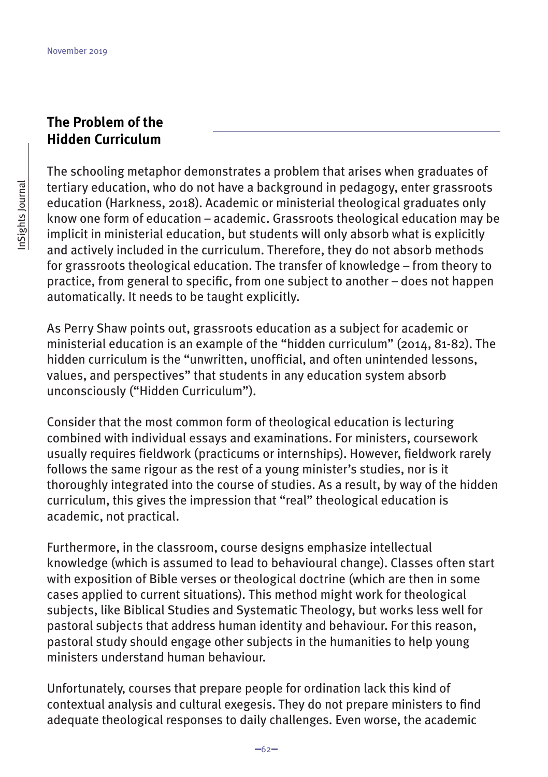## **The Problem of the Hidden Curriculum**

The schooling metaphor demonstrates a problem that arises when graduates of tertiary education, who do not have a background in pedagogy, enter grassroots education (Harkness, 2018). Academic or ministerial theological graduates only know one form of education – academic. Grassroots theological education may be implicit in ministerial education, but students will only absorb what is explicitly and actively included in the curriculum. Therefore, they do not absorb methods for grassroots theological education. The transfer of knowledge – from theory to practice, from general to specific, from one subject to another – does not happen automatically. It needs to be taught explicitly.

As Perry Shaw points out, grassroots education as a subject for academic or ministerial education is an example of the "hidden curriculum" (2014, 81-82). The hidden curriculum is the "unwritten, unofficial, and often unintended lessons, values, and perspectives" that students in any education system absorb unconsciously ("Hidden Curriculum").

Consider that the most common form of theological education is lecturing combined with individual essays and examinations. For ministers, coursework usually requires fieldwork (practicums or internships). However, fieldwork rarely follows the same rigour as the rest of a young minister's studies, nor is it thoroughly integrated into the course of studies. As a result, by way of the hidden curriculum, this gives the impression that "real" theological education is academic, not practical.

Furthermore, in the classroom, course designs emphasize intellectual knowledge (which is assumed to lead to behavioural change). Classes often start with exposition of Bible verses or theological doctrine (which are then in some cases applied to current situations). This method might work for theological subjects, like Biblical Studies and Systematic Theology, but works less well for pastoral subjects that address human identity and behaviour. For this reason, pastoral study should engage other subjects in the humanities to help young ministers understand human behaviour.

Unfortunately, courses that prepare people for ordination lack this kind of contextual analysis and cultural exegesis. They do not prepare ministers to find adequate theological responses to daily challenges. Even worse, the academic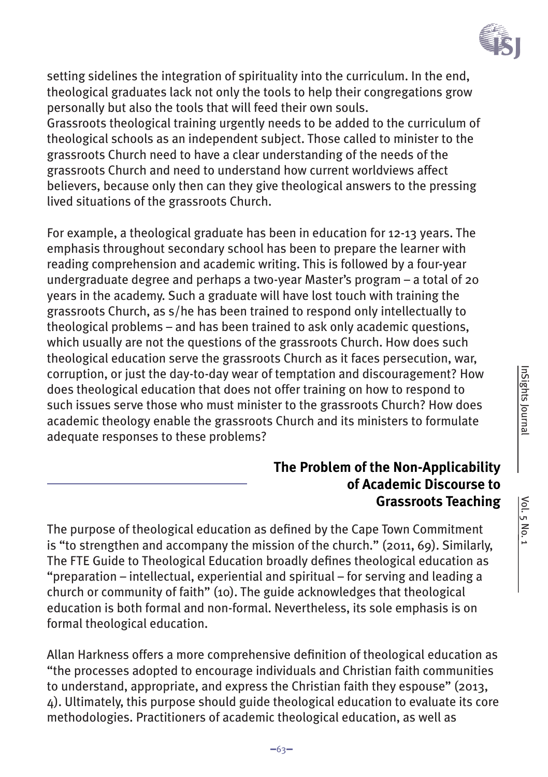

setting sidelines the integration of spirituality into the curriculum. In the end, theological graduates lack not only the tools to help their congregations grow personally but also the tools that will feed their own souls. Grassroots theological training urgently needs to be added to the curriculum of theological schools as an independent subject. Those called to minister to the grassroots Church need to have a clear understanding of the needs of the grassroots Church and need to understand how current worldviews affect believers, because only then can they give theological answers to the pressing lived situations of the grassroots Church.

For example, a theological graduate has been in education for 12-13 years. The emphasis throughout secondary school has been to prepare the learner with reading comprehension and academic writing. This is followed by a four-year undergraduate degree and perhaps a two-year Master's program – a total of 20 years in the academy. Such a graduate will have lost touch with training the grassroots Church, as s/he has been trained to respond only intellectually to theological problems – and has been trained to ask only academic questions, which usually are not the questions of the grassroots Church. How does such theological education serve the grassroots Church as it faces persecution, war, corruption, or just the day-to-day wear of temptation and discouragement? How does theological education that does not offer training on how to respond to such issues serve those who must minister to the grassroots Church? How does academic theology enable the grassroots Church and its ministers to formulate adequate responses to these problems?

## **The Problem of the Non-Applicability of Academic Discourse to Grassroots Teaching**

The purpose of theological education as defined by the Cape Town Commitment is "to strengthen and accompany the mission of the church." (2011, 69). Similarly, The FTE Guide to Theological Education broadly defines theological education as "preparation – intellectual, experiential and spiritual – for serving and leading a church or community of faith" (10). The guide acknowledges that theological education is both formal and non-formal. Nevertheless, its sole emphasis is on formal theological education.

Allan Harkness offers a more comprehensive definition of theological education as "the processes adopted to encourage individuals and Christian faith communities to understand, appropriate, and express the Christian faith they espouse" (2013, 4). Ultimately, this purpose should guide theological education to evaluate its core methodologies. Practitioners of academic theological education, as well as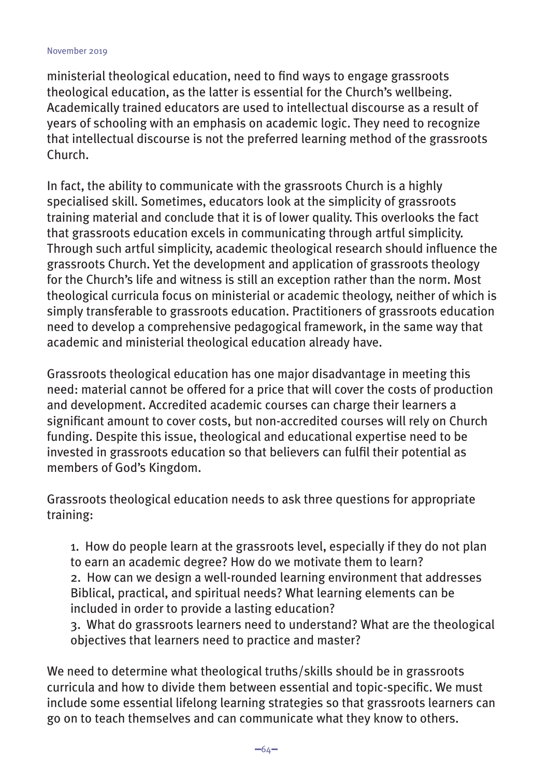ministerial theological education, need to find ways to engage grassroots theological education, as the latter is essential for the Church's wellbeing. Academically trained educators are used to intellectual discourse as a result of years of schooling with an emphasis on academic logic. They need to recognize that intellectual discourse is not the preferred learning method of the grassroots Church.

In fact, the ability to communicate with the grassroots Church is a highly specialised skill. Sometimes, educators look at the simplicity of grassroots training material and conclude that it is of lower quality. This overlooks the fact that grassroots education excels in communicating through artful simplicity. Through such artful simplicity, academic theological research should influence the grassroots Church. Yet the development and application of grassroots theology for the Church's life and witness is still an exception rather than the norm. Most theological curricula focus on ministerial or academic theology, neither of which is simply transferable to grassroots education. Practitioners of grassroots education need to develop a comprehensive pedagogical framework, in the same way that academic and ministerial theological education already have.

Grassroots theological education has one major disadvantage in meeting this need: material cannot be offered for a price that will cover the costs of production and development. Accredited academic courses can charge their learners a significant amount to cover costs, but non-accredited courses will rely on Church funding. Despite this issue, theological and educational expertise need to be invested in grassroots education so that believers can fulfil their potential as members of God's Kingdom.

Grassroots theological education needs to ask three questions for appropriate training:

1. How do people learn at the grassroots level, especially if they do not plan to earn an academic degree? How do we motivate them to learn? 2. How can we design a well-rounded learning environment that addresses Biblical, practical, and spiritual needs? What learning elements can be included in order to provide a lasting education?

3. What do grassroots learners need to understand? What are the theological objectives that learners need to practice and master?

We need to determine what theological truths/skills should be in grassroots curricula and how to divide them between essential and topic-specific. We must include some essential lifelong learning strategies so that grassroots learners can go on to teach themselves and can communicate what they know to others.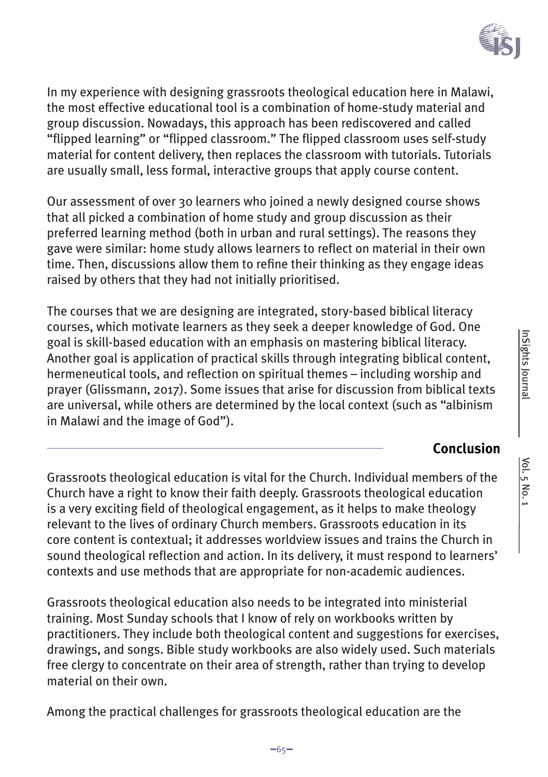

In my experience with designing grassroots theological education here in Malawi, the most effective educational tool is a combination of home-study material and group discussion. Nowadays, this approach has been rediscovered and called "flipped learning" or "flipped classroom." The flipped classroom uses self-study material for content delivery, then replaces the classroom with tutorials. Tutorials are usually small, less formal, interactive groups that apply course content.

Our assessment of over 30 learners who joined a newly designed course shows that all picked a combination of home study and group discussion as their preferred learning method (both in urban and rural settings). The reasons they gave were similar: home study allows learners to reflect on material in their own time. Then, discussions allow them to refine their thinking as they engage ideas raised by others that they had not initially prioritised.

The courses that we are designing are integrated, story-based biblical literacy courses, which motivate learners as they seek a deeper knowledge of God. One goal is skill-based education with an emphasis on mastering biblical literacy. Another goal is application of practical skills through integrating biblical content, hermeneutical tools, and reflection on spiritual themes – including worship and prayer (Glissmann, 2017). Some issues that arise for discussion from biblical texts are universal, while others are determined by the local context (such as "albinism in Malawi and the image of God").

# **Conclusion**

Grassroots theological education is vital for the Church. Individual members of the Church have a right to know their faith deeply. Grassroots theological education is a very exciting field of theological engagement, as it helps to make theology relevant to the lives of ordinary Church members. Grassroots education in its core content is contextual; it addresses worldview issues and trains the Church in sound theological reflection and action. In its delivery, it must respond to learners' contexts and use methods that are appropriate for non-academic audiences.

Grassroots theological education also needs to be integrated into ministerial training. Most Sunday schools that I know of rely on workbooks written by practitioners. They include both theological content and suggestions for exercises, drawings, and songs. Bible study workbooks are also widely used. Such materials free clergy to concentrate on their area of strength, rather than trying to develop material on their own.

Among the practical challenges for grassroots theological education are the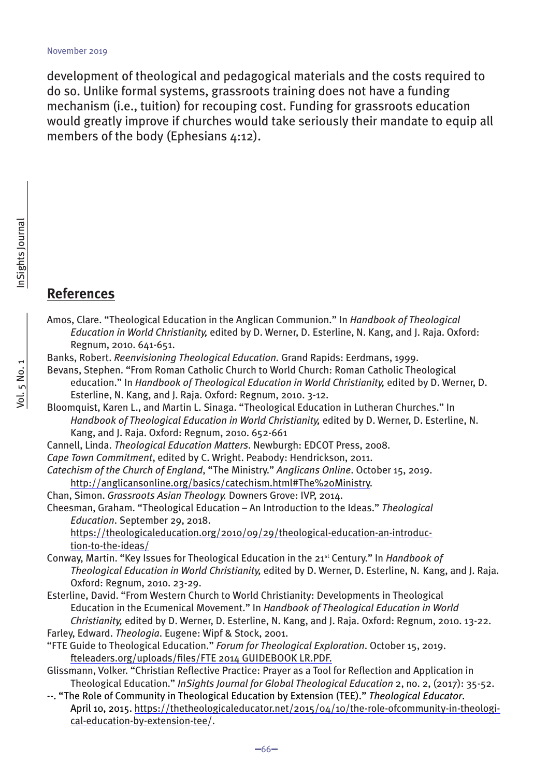development of theological and pedagogical materials and the costs required to do so. Unlike formal systems, grassroots training does not have a funding mechanism (i.e., tuition) for recouping cost. Funding for grassroots education would greatly improve if churches would take seriously their mandate to equip all members of the body (Ephesians 4:12).

## **References**

- Amos, Clare. "Theological Education in the Anglican Communion." In *Handbook of Theological Education in World Christianity,* edited by D. Werner, D. Esterline, N. Kang, and J. Raja. Oxford: Regnum, 2010. 641-651.
- Banks, Robert. *Reenvisioning Theological Education.* Grand Rapids: Eerdmans, 1999.
- Bevans, Stephen. "From Roman Catholic Church to World Church: Roman Catholic Theological education." In *Handbook of Theological Education in World Christianity,* edited by D. Werner, D. Esterline, N. Kang, and J. Raja. Oxford: Regnum, 2010. 3-12.
- Bloomquist, Karen L., and Martin L. Sinaga. "Theological Education in Lutheran Churches." In *Handbook of Theological Education in World Christianity,* edited by D. Werner, D. Esterline, N. Kang, and J. Raja. Oxford: Regnum, 2010. 652-661
- Cannell, Linda. *Theological Education Matters*. Newburgh: EDCOT Press, 2008.
- *Cape Town Commitment*, edited by C. Wright. Peabody: Hendrickson, 2011.
- *Catechism of the Church of England*, "The Ministry." *Anglicans Online*. October 15, 2019. http://anglicansonline.org/basics/catechism.html#The%20Ministry.
- Chan, Simon. *Grassroots Asian Theology.* Downers Grove: IVP, 2014.
- Cheesman, Graham. "Theological Education An Introduction to the Ideas." *Theological Education*. September 29, 2018.
	- https://theologicaleducation.org/2010/09/29/theological-education-an-introduction-to-the-ideas/
- Conway, Martin. "Key Issues for Theological Education in the 21st Century." In *Handbook of Theological Education in World Christianity,* edited by D. Werner, D. Esterline, N. Kang, and J. Raja. Oxford: Regnum, 2010. 23-29.
- Esterline, David. "From Western Church to World Christianity: Developments in Theological Education in the Ecumenical Movement." In *Handbook of Theological Education in World Christianity,* edited by D. Werner, D. Esterline, N. Kang, and J. Raja. Oxford: Regnum, 2010. 13-22. Farley, Edward. *Theologia*. Eugene: Wipf & Stock, 2001.
- "FTE Guide to Theological Education." *Forum for Theological Exploration*. October 15, 2019.
	- fteleaders.org/uploads/files/FTE 2014 GUIDEBOOK LR.PDF.
- Glissmann, Volker. "Christian Reflective Practice: Prayer as a Tool for Reflection and Application in Theological Education." *InSights Journal for Global Theological Education* 2, no. 2, (2017): 35-52.
- --. "The Role of Community in Theological Education by Extension (TEE)." *Theological Educator*. April 10, 2015. https://thetheologicaleducator.net/2015/04/10/the-role-ofcommunity-in-theological-education-by-extension-tee/.